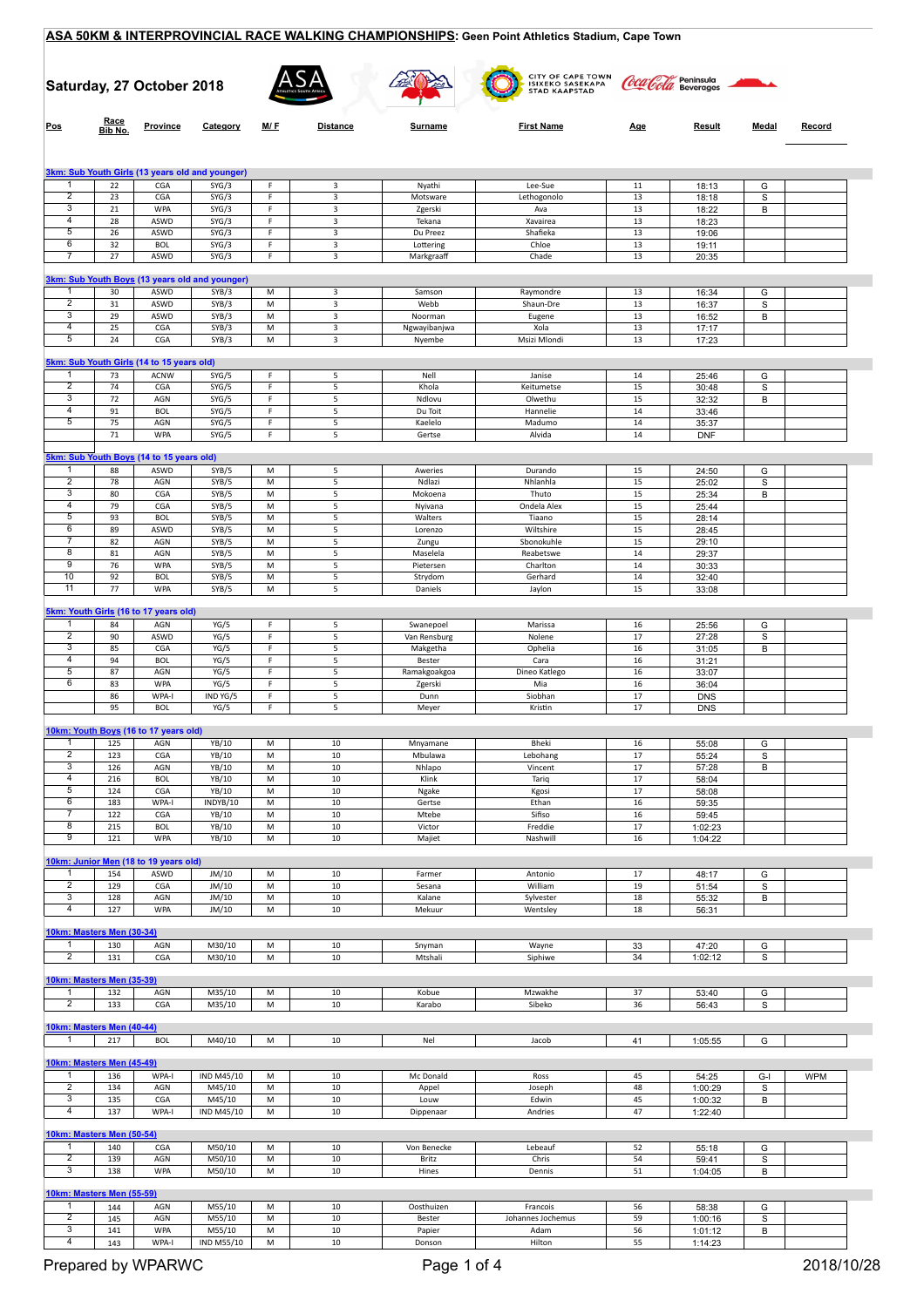**ASA 50KM & INTERPROVINCIAL RACE WALKING CHAMPIONSHIPS: Geen Point Athletics Stadium, Cape Town**



 94 BOL YG/5 F 5 Bester Cara 16 31:21 5 | 87 | AGN | YG/5 | F | 5 | Ramakgoakgoa | Dineo Katlego | 16 | 33:07 83 WPA YG/5 F 5 Zgerski Mia 16 36:04 WPA-I IND YG/5 F 5 Dunn Siobhan 17 DNS

|                                  | 95  | <b>BOL</b>                            | YG/5       | F         | 5 <sup>5</sup> | Meyer        | Kristin           | 17 | <b>DNS</b> |       |            |
|----------------------------------|-----|---------------------------------------|------------|-----------|----------------|--------------|-------------------|----|------------|-------|------------|
|                                  |     |                                       |            |           |                |              |                   |    |            |       |            |
|                                  |     | 10km: Youth Boys (16 to 17 years old) |            |           |                |              |                   |    |            |       |            |
| -1                               | 125 | <b>AGN</b>                            | YB/10      | M         | 10             | Mnyamane     | Bheki             | 16 | 55:08      | G     |            |
| $\overline{2}$                   | 123 | <b>CGA</b>                            | YB/10      | ${\sf M}$ | 10             | Mbulawa      | Lebohang          | 17 | 55:24      | S     |            |
| $\overline{3}$                   | 126 | AGN                                   | YB/10      | ${\sf M}$ | 10             | Nhlapo       | Vincent           | 17 | 57:28      | B     |            |
| $\overline{4}$                   | 216 | <b>BOL</b>                            | YB/10      | ${\sf M}$ | 10             | Klink        | Tariq             | 17 | 58:04      |       |            |
| $\overline{5}$                   | 124 | <b>CGA</b>                            | YB/10      | ${\sf M}$ | 10             | Ngake        | Kgosi             | 17 | 58:08      |       |            |
| 6                                | 183 | WPA-I                                 | INDYB/10   | ${\sf M}$ | 10             | Gertse       | Ethan             | 16 | 59:35      |       |            |
| $\overline{7}$                   | 122 | <b>CGA</b>                            | YB/10      | ${\sf M}$ | 10             | Mtebe        | Sifiso            | 16 | 59:45      |       |            |
| $\overline{8}$                   | 215 | <b>BOL</b>                            | YB/10      | ${\sf M}$ | 10             | Victor       | Freddie           | 17 | 1:02:23    |       |            |
| $\overline{9}$                   | 121 | <b>WPA</b>                            | YB/10      | ${\sf M}$ | 10             | Majiet       | Nashwill          | 16 | 1:04:22    |       |            |
|                                  |     |                                       |            |           |                |              |                   |    |            |       |            |
|                                  |     | 10km: Junior Men (18 to 19 years old) |            |           |                |              |                   |    |            |       |            |
| $\overline{1}$                   | 154 | ASWD                                  | JM/10      | M         | 10             | Farmer       | Antonio           | 17 | 48:17      | G     |            |
| $\overline{2}$                   | 129 | <b>CGA</b>                            | JM/10      | ${\sf M}$ | 10             | Sesana       | William           | 19 | 51:54      | S     |            |
| $\overline{3}$                   | 128 | AGN                                   | JM/10      | ${\sf M}$ | 10             | Kalane       | Sylvester         | 18 | 55:32      | B     |            |
| $\overline{4}$                   | 127 | <b>WPA</b>                            | JM/10      | ${\sf M}$ | 10             | Mekuur       | Wentsley          | 18 | 56:31      |       |            |
|                                  |     |                                       |            |           |                |              |                   |    |            |       |            |
| <b>10km: Masters Men (30-34)</b> |     |                                       |            |           |                |              |                   |    |            |       |            |
| $\overline{1}$                   | 130 | AGN                                   | M30/10     | ${\sf M}$ | 10             | Snyman       | Wayne             | 33 | 47:20      | G     |            |
| $\overline{2}$                   | 131 | <b>CGA</b>                            | M30/10     | ${\sf M}$ | 10             | Mtshali      | Siphiwe           | 34 | 1:02:12    | S     |            |
|                                  |     |                                       |            |           |                |              |                   |    |            |       |            |
| 10km: Masters Men (35-39)        |     |                                       |            |           |                |              |                   |    |            |       |            |
| -1                               | 132 | AGN                                   | M35/10     | ${\sf M}$ | 10             | Kobue        | Mzwakhe           | 37 | 53:40      | G     |            |
| $\overline{2}$                   | 133 | <b>CGA</b>                            | M35/10     | ${\sf M}$ | 10             | Karabo       | Sibeko            | 36 | 56:43      | S     |            |
|                                  |     |                                       |            |           |                |              |                   |    |            |       |            |
| 10km: Masters Men (40-44)        |     |                                       |            |           |                |              |                   |    |            |       |            |
| -1                               | 217 | <b>BOL</b>                            | M40/10     | M         | 10             | Nel          | Jacob             | 41 | 1:05:55    | G     |            |
|                                  |     |                                       |            |           |                |              |                   |    |            |       |            |
| 10km: Masters Men (45-49)        |     |                                       |            |           |                |              |                   |    |            |       |            |
|                                  | 136 | WPA-I                                 | IND M45/10 | M         | 10             | Mc Donald    | Ross              | 45 | 54:25      | $G-I$ | <b>WPM</b> |
| $\overline{2}$                   | 134 | AGN                                   | M45/10     | ${\sf M}$ | 10             | Appel        | Joseph            | 48 | 1:00:29    | S     |            |
| $\overline{3}$                   | 135 | <b>CGA</b>                            | M45/10     | M         | 10             | Louw         | Edwin             | 45 | 1:00:32    | B     |            |
| $\overline{4}$                   | 137 | WPA-I                                 | IND M45/10 | M         | 10             | Dippenaar    | Andries           | 47 | 1:22:40    |       |            |
|                                  |     |                                       |            |           |                |              |                   |    |            |       |            |
| 10km: Masters Men (50-54)        |     |                                       |            |           |                |              |                   |    |            |       |            |
| $\overline{1}$                   | 140 | <b>CGA</b>                            | M50/10     | M         | 10             | Von Benecke  | Lebeauf           | 52 | 55:18      | G     |            |
| $\overline{2}$                   | 139 | AGN                                   | M50/10     | ${\sf M}$ | 10             | <b>Britz</b> | Chris             | 54 | 59:41      | S     |            |
| $\overline{3}$                   | 138 | <b>WPA</b>                            | M50/10     | M         | 10             | Hines        | Dennis            | 51 | 1:04:05    | B     |            |
|                                  |     |                                       |            |           |                |              |                   |    |            |       |            |
| 10km: Masters Men (55-59)        |     |                                       |            |           |                |              |                   |    |            |       |            |
| $\mathbf{1}$                     | 144 | AGN                                   | M55/10     | M         | 10             | Oosthuizen   | Francois          | 56 | 58:38      | G     |            |
| $\overline{2}$                   | 145 | AGN                                   | M55/10     | M         | 10             | Bester       | Johannes Jochemus | 59 | 1:00:16    | S     |            |
| $\overline{3}$                   | 141 | <b>WPA</b>                            | M55/10     | M         | 10             | Papier       | Adam              | 56 | 1:01:12    | B     |            |
| $\overline{4}$                   | 143 | WPA-I                                 | IND M55/10 | M         | 10             | Donson       | Hilton            | 55 | 1:14:23    |       |            |
|                                  |     |                                       |            |           |                |              |                   |    |            |       |            |

Prepared by WPARWC Page 1 of 4 2018/10/28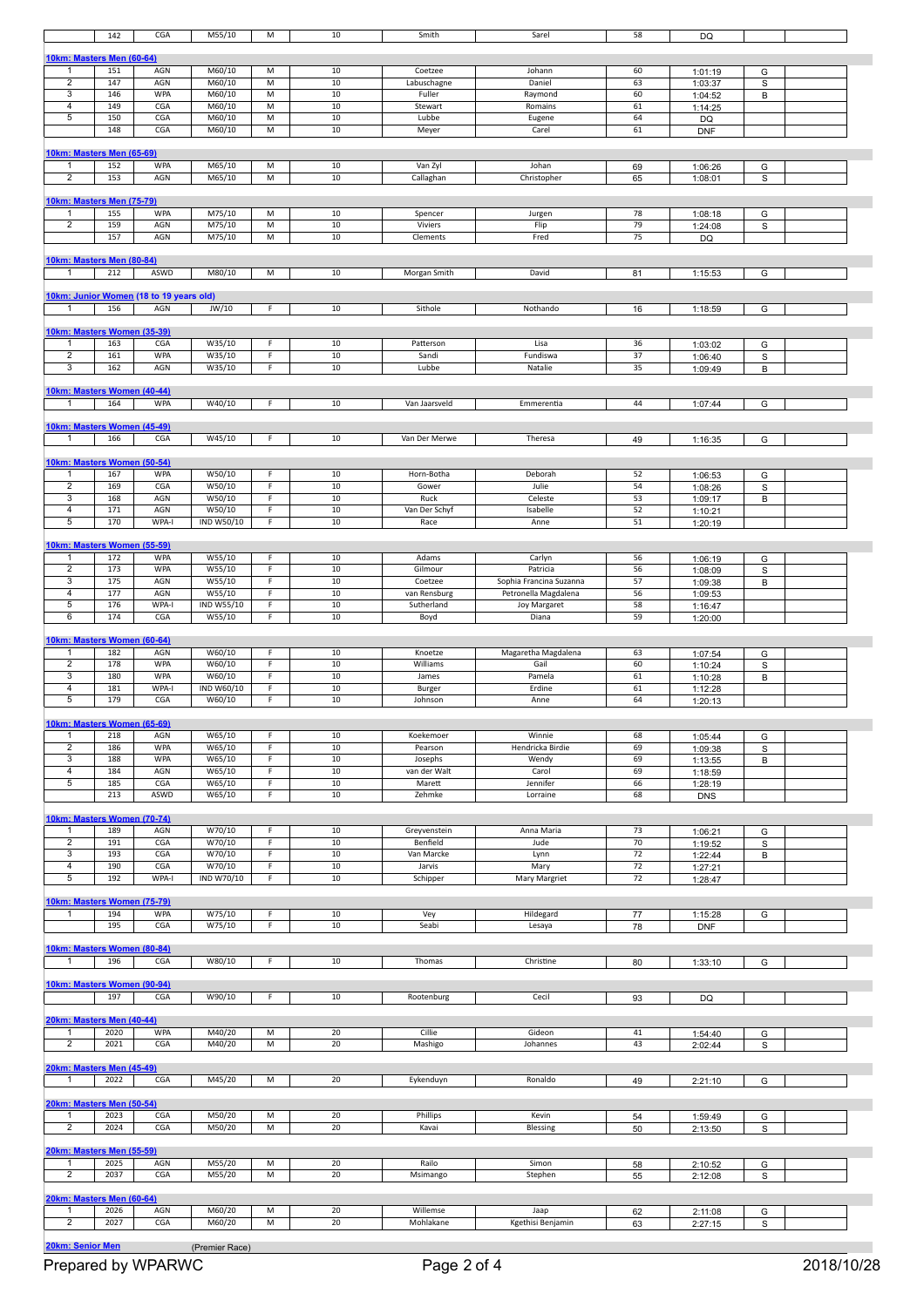| 10km: Masters Men (60-64)<br>-1<br>2                                                                                                                                               | 142          | CGA                                     | M55/10               | M        | 10                    | Smith                   | Sarel                        | 58       | <b>DQ</b>          |               |  |
|------------------------------------------------------------------------------------------------------------------------------------------------------------------------------------|--------------|-----------------------------------------|----------------------|----------|-----------------------|-------------------------|------------------------------|----------|--------------------|---------------|--|
|                                                                                                                                                                                    |              |                                         |                      |          |                       |                         |                              |          |                    |               |  |
|                                                                                                                                                                                    | 151          | <b>AGN</b>                              | M60/10               | M        | 10                    | Coetzee                 | Johann                       | 60       | 1:01:19            | G             |  |
|                                                                                                                                                                                    | 147          | AGN                                     | M60/10               | M        | 10                    | Labuschagne             | Daniel                       | 63       | 1:03:37            | S             |  |
| $\overline{3}$                                                                                                                                                                     | 146          | <b>WPA</b>                              | M60/10               | M        | 10                    | Fuller                  | Raymond                      | 60       | 1:04:52            | $\sf B$       |  |
| $\overline{4}$<br>$\overline{5}$                                                                                                                                                   | 149<br>150   | <b>CGA</b><br><b>CGA</b>                | M60/10<br>M60/10     | M<br>M   | 10<br>10              | Stewart<br>Lubbe        | Romains<br>Eugene            | 61<br>64 | 1:14:25            |               |  |
|                                                                                                                                                                                    | 148          | <b>CGA</b>                              | M60/10               | M        | 10                    | Meyer                   | Carel                        | 61       | DQ<br><b>DNF</b>   |               |  |
|                                                                                                                                                                                    |              |                                         |                      |          |                       |                         |                              |          |                    |               |  |
| 10km: Masters Men (65-69)                                                                                                                                                          |              |                                         |                      |          |                       |                         |                              |          |                    |               |  |
| -1                                                                                                                                                                                 | 152          | <b>WPA</b>                              | M65/10               | M        | 10                    | Van Zyl                 | Johan                        | 69       | 1:06:26            | G             |  |
| $\overline{2}$                                                                                                                                                                     | 153          | AGN                                     | M65/10               | M        | 10                    | Callaghan               | Christopher                  | 65       | 1:08:01            | S             |  |
| 10km: Masters Men (75-79)                                                                                                                                                          |              |                                         |                      |          |                       |                         |                              |          |                    |               |  |
| -1                                                                                                                                                                                 | 155          | <b>WPA</b>                              | M75/10               | M        | 10                    | Spencer                 | Jurgen                       | 78       | 1:08:18            | G             |  |
| $\overline{2}$                                                                                                                                                                     | 159          | AGN                                     | M75/10               | M        | 10                    | Viviers                 | Flip                         | 79       | 1:24:08            | S             |  |
|                                                                                                                                                                                    | 157          | <b>AGN</b>                              | M75/10               | M        | 10                    | Clements                | Fred                         | 75       | <b>DQ</b>          |               |  |
|                                                                                                                                                                                    |              |                                         |                      |          |                       |                         |                              |          |                    |               |  |
| 10km: Masters Men (80-84)                                                                                                                                                          |              |                                         |                      |          |                       |                         |                              |          |                    |               |  |
| -1                                                                                                                                                                                 | 212          | ASWD                                    | M80/10               | M        | 10                    | Morgan Smith            | David                        | 81       | 1:15:53            | G             |  |
|                                                                                                                                                                                    |              | 10km: Junior Women (18 to 19 years old) |                      |          |                       |                         |                              |          |                    |               |  |
|                                                                                                                                                                                    | 156          | <b>AGN</b>                              | JW/10                | F.       | 10                    | Sithole                 | Nothando                     | 16       | 1:18:59            | G             |  |
|                                                                                                                                                                                    |              |                                         |                      |          |                       |                         |                              |          |                    |               |  |
| 10km: Masters Women (35-39)                                                                                                                                                        |              |                                         |                      |          |                       |                         |                              |          |                    |               |  |
| -1                                                                                                                                                                                 | 163          | <b>CGA</b>                              | W35/10               | F.       | 10                    | Patterson               | Lisa                         | 36       | 1:03:02            | G             |  |
| $\overline{2}$                                                                                                                                                                     | 161          | <b>WPA</b>                              | W35/10               | F        | 10                    | Sandi                   | Fundiswa                     | 37       | 1:06:40            | S             |  |
| 3                                                                                                                                                                                  | 162          | AGN                                     | W35/10               | F.       | 10                    | Lubbe                   | Natalie                      | 35       | 1:09:49            | B             |  |
| 10km: Masters Women (40-44)                                                                                                                                                        |              |                                         |                      |          |                       |                         |                              |          |                    |               |  |
|                                                                                                                                                                                    | 164          | <b>WPA</b>                              | W40/10               | F        | 10                    | Van Jaarsveld           | Emmerentia                   | 44       |                    | G             |  |
|                                                                                                                                                                                    |              |                                         |                      |          |                       |                         |                              |          | 1:07:44            |               |  |
| 10km: Masters Women (45-49)                                                                                                                                                        |              |                                         |                      |          |                       |                         |                              |          |                    |               |  |
|                                                                                                                                                                                    | 166          | <b>CGA</b>                              | W45/10               | F        | 10                    | Van Der Merwe           | Theresa                      | 49       | 1:16:35            | G             |  |
|                                                                                                                                                                                    |              |                                         |                      |          |                       |                         |                              |          |                    |               |  |
| 10km: Masters Women (50-54)                                                                                                                                                        |              |                                         |                      |          |                       |                         |                              |          |                    |               |  |
| -1                                                                                                                                                                                 | 167          | <b>WPA</b>                              | W50/10               | F.       | 10                    | Horn-Botha              | Deborah                      | 52       | 1:06:53            | G             |  |
| $\overline{2}$                                                                                                                                                                     | 169          | <b>CGA</b>                              | W50/10               | F.       | 10                    | Gower                   | Julie                        | 54       | 1:08:26            | S             |  |
| $\overline{3}$<br>$\overline{4}$                                                                                                                                                   | 168<br>171   | AGN<br>AGN                              | W50/10<br>W50/10     | F<br>F.  | 10<br>10              | Ruck<br>Van Der Schyf   | Celeste<br>Isabelle          | 53<br>52 | 1:09:17            | B             |  |
| $\overline{5}$                                                                                                                                                                     | 170          | WPA-I                                   | IND W50/10           | F.       | 10                    | Race                    | Anne                         | 51       | 1:10:21<br>1:20:19 |               |  |
|                                                                                                                                                                                    |              |                                         |                      |          |                       |                         |                              |          |                    |               |  |
| 10km: Masters Women (55-59)                                                                                                                                                        |              |                                         |                      |          |                       |                         |                              |          |                    |               |  |
|                                                                                                                                                                                    | 172          | <b>WPA</b>                              | W55/10               | F.       | 10                    | Adams                   | Carlyn                       | 56       | 1:06:19            | G             |  |
| $\overline{2}$                                                                                                                                                                     | 173          | <b>WPA</b>                              | W55/10               | F.       | 10                    | Gilmour                 | Patricia                     | 56       | 1:08:09            | S             |  |
| 3                                                                                                                                                                                  | 175          | AGN                                     | W55/10               | F.       | 10                    | Coetzee                 | Sophia Francina Suzanna      | 57       | 1:09:38            | B             |  |
| $\overline{4}$                                                                                                                                                                     | 177          | AGN                                     | W55/10               | F.       | 10                    | van Rensburg            | Petronella Magdalena         | 56       | 1:09:53            |               |  |
| $5\phantom{.0}$<br>$\overline{6}$                                                                                                                                                  | 176<br>174   | WPA-I<br><b>CGA</b>                     | IND W55/10           | F.<br>F. | 10                    | Sutherland              | Joy Margaret<br>Diana        | 58<br>59 | 1:16:47            |               |  |
|                                                                                                                                                                                    |              |                                         | W55/10               |          | 10                    | Boyd                    |                              |          | 1:20:00            |               |  |
| 10km: Masters Women (60-64)                                                                                                                                                        |              |                                         |                      |          |                       |                         |                              |          |                    |               |  |
|                                                                                                                                                                                    | 182          | AGN                                     | W60/10               | F.       | 10                    | Knoetze                 | Magaretha Magdalena          | 63       | 1:07:54            | G             |  |
| $\overline{2}$                                                                                                                                                                     | 178          | <b>WPA</b>                              | W60/10               | F.       | 10                    | Williams                | Gail                         | 60       | 1:10:24            | ${\mathsf S}$ |  |
| 3                                                                                                                                                                                  | 180          | <b>WPA</b>                              | W60/10               | F.       | 10                    | James                   | Pamela                       | 61       | 1:10:28            | B             |  |
| $\overline{4}$                                                                                                                                                                     | 181          | WPA-I                                   | IND W60/10           | F        | 10                    | Burger                  | Erdine                       | 61       | 1:12:28            |               |  |
| $5\phantom{.0}$                                                                                                                                                                    | 179          | <b>CGA</b>                              | W60/10               | F.       | 10                    | Johnson                 | Anne                         | 64       | 1:20:13            |               |  |
|                                                                                                                                                                                    |              |                                         |                      |          |                       |                         |                              |          |                    |               |  |
| 10km: Masters Women (65-69)<br>$\mathbf 1$                                                                                                                                         | 218          | AGN                                     | W65/10               | F        | 10                    | Koekemoer               | Winnie                       | 68       |                    |               |  |
| 2                                                                                                                                                                                  | 186          | <b>WPA</b>                              |                      | F.       |                       |                         | Hendricka Birdie             |          | 1:05:44            | G             |  |
|                                                                                                                                                                                    |              |                                         |                      |          |                       |                         |                              |          |                    |               |  |
|                                                                                                                                                                                    |              |                                         | W65/10               | F.       | 10                    | Pearson                 |                              | 69       | 1:09:38            | S             |  |
| 3<br>$\overline{4}$                                                                                                                                                                | 188<br>184   | <b>WPA</b><br>AGN                       | W65/10<br>W65/10     | E.       | 10<br>10              | Josephs<br>van der Walt | Wendy<br>Carol               | 69<br>69 | 1:13:55            | B             |  |
| $\overline{5}$                                                                                                                                                                     | 185          | CGA                                     | W65/10               | F.       | 10                    | Marett                  | Jennifer                     | 66       | 1:18:59<br>1:28:19 |               |  |
|                                                                                                                                                                                    | 213          | ASWD                                    | W65/10               | F.       | 10                    | Zehmke                  | Lorraine                     | 68       | <b>DNS</b>         |               |  |
|                                                                                                                                                                                    |              |                                         |                      |          |                       |                         |                              |          |                    |               |  |
|                                                                                                                                                                                    |              |                                         |                      |          |                       |                         |                              |          |                    |               |  |
| $\overline{1}$                                                                                                                                                                     | 189          | <b>AGN</b>                              | W70/10               | E.       | 10                    | Greyvenstein            | Anna Maria                   | 73       | 1:06:21            | G             |  |
| $\overline{2}$                                                                                                                                                                     | 191          | <b>CGA</b>                              | W70/10               | E.<br>F. | 10                    | Benfield                | Jude                         | 70       | 1:19:52            | S             |  |
| $\overline{3}$<br>$\overline{4}$                                                                                                                                                   | 193          | <b>CGA</b>                              | W70/10               | F.       | 10                    | Van Marcke<br>Jarvis    | Lynn                         | 72       | 1:22:44            | $\sf B$       |  |
| $\overline{5}$                                                                                                                                                                     | 190<br>192   | <b>CGA</b><br>WPA-I                     | W70/10<br>IND W70/10 | F.       | 10<br>10              | Schipper                | Mary<br><b>Mary Margriet</b> | 72<br>72 | 1:27:21            |               |  |
|                                                                                                                                                                                    |              |                                         |                      |          |                       |                         |                              |          | 1:28:47            |               |  |
|                                                                                                                                                                                    |              |                                         |                      |          |                       |                         |                              |          |                    |               |  |
|                                                                                                                                                                                    | 194          | <b>WPA</b>                              | W75/10               | F.       | 10                    | Vey                     | Hildegard                    | 77       | 1:15:28            | G             |  |
|                                                                                                                                                                                    | 195          | <b>CGA</b>                              | W75/10               | F.       | 10                    | Seabi                   | Lesaya                       | 78       | <b>DNF</b>         |               |  |
|                                                                                                                                                                                    |              |                                         |                      |          |                       |                         |                              |          |                    |               |  |
| -1                                                                                                                                                                                 |              |                                         |                      | F.       |                       |                         |                              |          |                    |               |  |
|                                                                                                                                                                                    | 196          | <b>CGA</b>                              | W80/10               |          | 10                    | Thomas                  | Christine                    | 80       | 1:33:10            | G             |  |
|                                                                                                                                                                                    |              |                                         |                      |          |                       |                         |                              |          |                    |               |  |
|                                                                                                                                                                                    | 197          | <b>CGA</b>                              | W90/10               | F.       | 10                    | Rootenburg              | Cecil                        | 93       | <b>DQ</b>          |               |  |
|                                                                                                                                                                                    |              |                                         |                      |          |                       |                         |                              |          |                    |               |  |
|                                                                                                                                                                                    |              |                                         |                      |          |                       |                         |                              |          |                    |               |  |
|                                                                                                                                                                                    | 2020         | <b>WPA</b>                              | M40/20               | M        | 20                    | Cillie                  | Gideon                       | 41       | 1:54:40            | G             |  |
| $\overline{2}$                                                                                                                                                                     | 2021         | CGA                                     | M40/20               | M        | 20                    | Mashigo                 | Johannes                     | 43       | 2:02:44            | ${\mathsf S}$ |  |
|                                                                                                                                                                                    |              |                                         |                      |          |                       |                         |                              |          |                    |               |  |
| -1                                                                                                                                                                                 |              |                                         |                      |          |                       |                         |                              |          |                    |               |  |
|                                                                                                                                                                                    | 2022         | <b>CGA</b>                              | M45/20               | M        | 20                    | Eykenduyn               | Ronaldo                      | 49       | 2:21:10            | G             |  |
| 10km: Masters Women (70-74)<br>10km: Masters Women (75-79)<br>10km: Masters Women (80-84)<br>10km: Masters Women (90-94)<br>20km: Masters Men (40-44)<br>20km: Masters Men (45-49) |              |                                         |                      |          |                       |                         |                              |          |                    |               |  |
| 20km: Masters Men (50-54)                                                                                                                                                          | 2023         | CGA                                     | M50/20               | M        | 20                    | Phillips                | Kevin                        |          |                    |               |  |
| $\overline{2}$                                                                                                                                                                     | 2024         | CGA                                     | M50/20               | M        | $20\,$                | Kavai                   | Blessing                     | 54<br>50 | 1:59:49<br>2:13:50 | G<br>S        |  |
|                                                                                                                                                                                    |              |                                         |                      |          |                       |                         |                              |          |                    |               |  |
| <b>20km: Masters Men (55-59)</b>                                                                                                                                                   |              |                                         |                      |          |                       |                         |                              |          |                    |               |  |
| $\mathbf 1$                                                                                                                                                                        | 2025         | AGN                                     | M55/20               | M        | 20                    | Railo                   | Simon                        | 58       | 2:10:52            | G             |  |
| $\overline{2}$                                                                                                                                                                     | 2037         | <b>CGA</b>                              | M55/20               | M        | 20                    | Msimango                | Stephen                      | 55       | 2:12:08            | ${\mathsf S}$ |  |
|                                                                                                                                                                                    |              |                                         |                      |          |                       |                         |                              |          |                    |               |  |
| 20km: Masters Men (60-64)                                                                                                                                                          |              |                                         |                      |          |                       |                         |                              |          |                    |               |  |
| $\overline{1}$<br>$\overline{2}$                                                                                                                                                   | 2026<br>2027 | AGN<br><b>CGA</b>                       | M60/20<br>M60/20     | M<br>M   | $\overline{20}$<br>20 | Willemse<br>Mohlakane   | Jaap<br>Kgethisi Benjamin    | 62<br>63 | 2:11:08<br>2:27:15 | G<br>S        |  |

Prepared by WPARWC Page 2 of 4 2018/10/28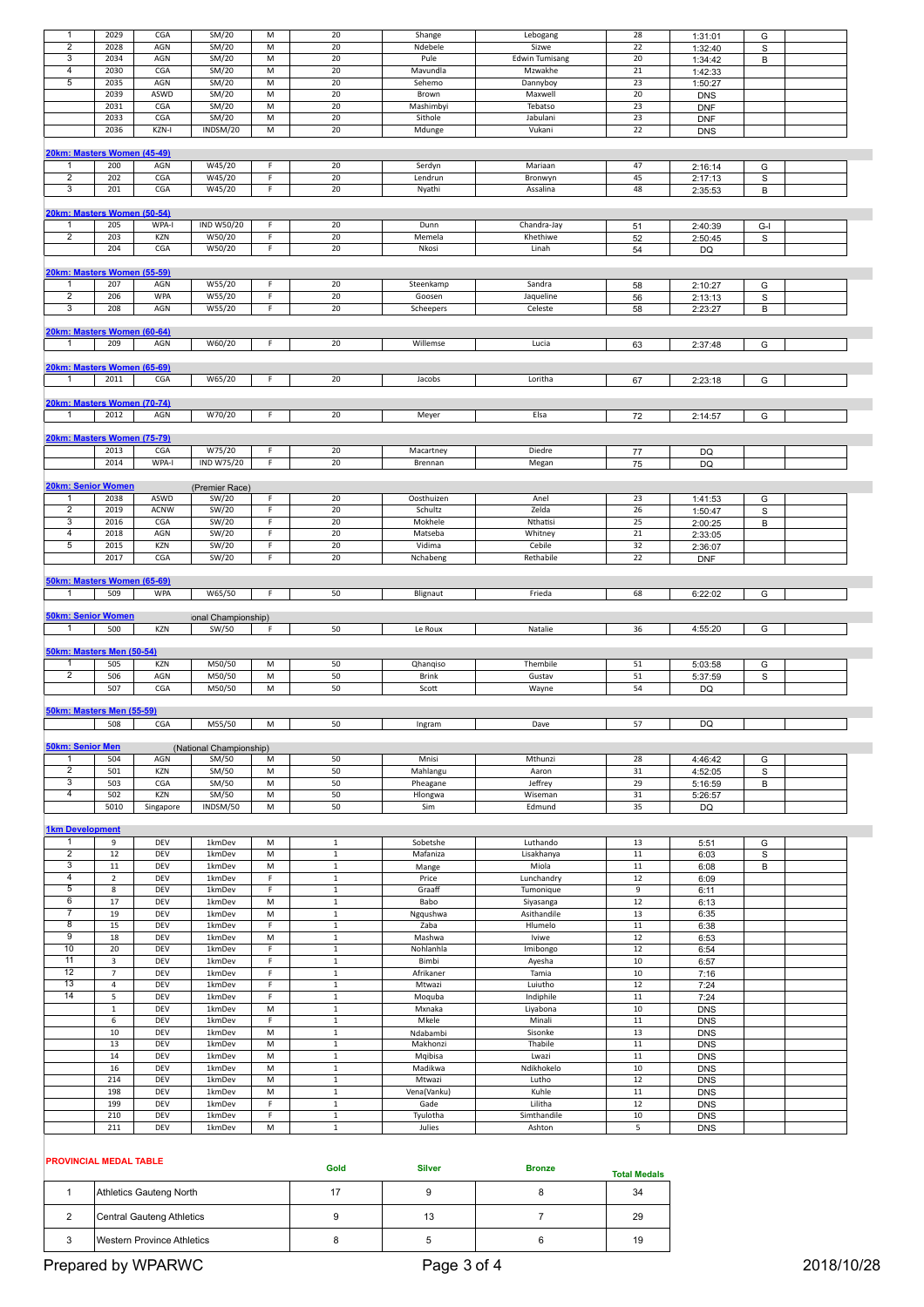| -1                                                                                                                                              | 2029           | <b>CGA</b>  | SM/20                   | M              | 20           | Shange       | Lebogang              | 28             | 1:31:01    | G     |  |
|-------------------------------------------------------------------------------------------------------------------------------------------------|----------------|-------------|-------------------------|----------------|--------------|--------------|-----------------------|----------------|------------|-------|--|
| 2                                                                                                                                               | 2028           | AGN         | $\overline{SM}/20$      | M              | 20           | Ndebele      | Sizwe                 | 22             | 1:32:40    | S     |  |
| 3                                                                                                                                               | 2034           | AGN         | SM/20                   | M              | 20           | Pule         | <b>Edwin Tumisang</b> | 20             | 1:34:42    | B     |  |
| $\overline{4}$                                                                                                                                  | 2030           | CGA         | SM/20                   | M              | 20           | Mavundla     | Mzwakhe               | 21             | 1:42:33    |       |  |
| $\overline{5}$                                                                                                                                  | 2035           | <b>AGN</b>  | SM/20                   | M              | $20\,$       | Sehemo       | Dannyboy              | 23             | 1:50:27    |       |  |
|                                                                                                                                                 | 2039           | <b>ASWD</b> | SM/20                   | M              | 20           | Brown        | Maxwell               | 20             | <b>DNS</b> |       |  |
|                                                                                                                                                 | 2031           | <b>CGA</b>  | SM/20                   | M              | 20           | Mashimbyi    | Tebatso               | 23             | <b>DNF</b> |       |  |
|                                                                                                                                                 | 2033           | <b>CGA</b>  | SM/20                   | M              | 20           | Sithole      | Jabulani              | 23             | <b>DNF</b> |       |  |
|                                                                                                                                                 | 2036           | KZN-I       | INDSM/20                | M              | 20           | Mdunge       | Vukani                | 22             | <b>DNS</b> |       |  |
|                                                                                                                                                 |                |             |                         |                |              |              |                       |                |            |       |  |
| 20km: Masters Women (45-49)                                                                                                                     |                |             |                         |                |              |              |                       |                |            |       |  |
| -1                                                                                                                                              | 200            | AGN         | W45/20                  |                | 20           | Serdyn       | Mariaan               | 47             | 2:16:14    | G     |  |
| $\overline{2}$                                                                                                                                  | 202            | CGA         | W45/20                  |                | 20           | Lendrun      | Bronwyn               | 45             | 2:17:13    | S     |  |
| 3                                                                                                                                               | 201            | CGA         | W45/20                  |                | 20           | Nyathi       | Assalina              | 48             | 2:35:53    | B     |  |
|                                                                                                                                                 |                |             |                         |                |              |              |                       |                |            |       |  |
| 20km: Masters Women (50-54)                                                                                                                     |                |             |                         |                |              |              |                       |                |            |       |  |
| -1                                                                                                                                              | 205            | WPA-I       | <b>IND W50/20</b>       |                | 20           | Dunn         | Chandra-Jay           | 51             | 2:40:39    | $G-I$ |  |
| $\overline{2}$                                                                                                                                  | 203            | <b>KZN</b>  | W50/20                  | E              | 20           | Memela       | Khethiwe              | 52             | 2:50:45    | S     |  |
|                                                                                                                                                 | 204            | <b>CGA</b>  | W50/20                  | E              | 20           | Nkosi        | Linah                 | 54             | DQ         |       |  |
|                                                                                                                                                 |                |             |                         |                |              |              |                       |                |            |       |  |
| 20km: Masters Women (55-59)                                                                                                                     |                |             |                         |                |              |              |                       |                |            |       |  |
| $\mathbf 1$                                                                                                                                     | 207            | AGN         | W55/20                  | F              | 20           | Steenkamp    | Sandra                | 58             | 2:10:27    | G     |  |
| $\overline{2}$                                                                                                                                  | 206            | <b>WPA</b>  | W55/20                  |                | 20           | Goosen       | Jaqueline             | 56             | 2:13:13    | S     |  |
| 3                                                                                                                                               | 208            | AGN         | W55/20                  | E.             | 20           | Scheepers    | Celeste               | 58             | 2:23:27    | B     |  |
|                                                                                                                                                 |                |             |                         |                |              |              |                       |                |            |       |  |
| 20km: Masters Women (60-64)                                                                                                                     |                |             |                         |                |              |              |                       |                |            |       |  |
| -1                                                                                                                                              | 209            |             | W60/20                  | F              |              | Willemse     | Lucia                 |                |            |       |  |
|                                                                                                                                                 |                | AGN         |                         |                | 20           |              |                       | 63             | 2:37:48    | G     |  |
|                                                                                                                                                 |                |             |                         |                |              |              |                       |                |            |       |  |
| 20km: Masters Women (65-69)                                                                                                                     |                |             |                         |                |              |              |                       |                |            |       |  |
| $\mathbf{1}$                                                                                                                                    | 2011           | <b>CGA</b>  | W65/20                  |                | 20           | Jacobs       | Loritha               | 67             | 2:23:18    | G     |  |
|                                                                                                                                                 |                |             |                         |                |              |              |                       |                |            |       |  |
| 20km: Masters Women (70-74)                                                                                                                     |                |             |                         |                |              |              |                       |                |            |       |  |
|                                                                                                                                                 | 2012           | AGN         | W70/20                  |                | 20           | Meyer        | Elsa                  | 72             | 2:14:57    | G     |  |
|                                                                                                                                                 |                |             |                         |                |              |              |                       |                |            |       |  |
| 20km: Masters Women (75-79)                                                                                                                     |                |             |                         |                |              |              |                       |                |            |       |  |
|                                                                                                                                                 | 2013           | <b>CGA</b>  | W75/20                  |                | 20           | Macartney    | Diedre                | 77             | <b>DQ</b>  |       |  |
|                                                                                                                                                 | 2014           | WPA-I       | IND W75/20              | F              | 20           | Brennan      | Megan                 | 75             | <b>DQ</b>  |       |  |
|                                                                                                                                                 |                |             |                         |                |              |              |                       |                |            |       |  |
| <b>20km: Senior Women</b>                                                                                                                       |                |             | (Premier Race)          |                |              |              |                       |                |            |       |  |
| -1                                                                                                                                              | 2038           | <b>ASWD</b> | SW/20                   | F              | 20           | Oosthuizen   | Anel                  | 23             | 1:41:53    | G     |  |
| $\overline{2}$                                                                                                                                  | 2019           | <b>ACNW</b> | SW/20                   | E              | 20           | Schultz      | Zelda                 | 26             | 1:50:47    | S     |  |
| 3                                                                                                                                               | 2016           | <b>CGA</b>  | SW/20                   | F.             | 20           | Mokhele      | Nthatisi              | 25             | 2:00:25    | B     |  |
| 4                                                                                                                                               | 2018           | AGN         | SW/20                   | E              | 20           | Matseba      | Whitney               | 21             | 2:33:05    |       |  |
| $\overline{5}$                                                                                                                                  | 2015           | <b>KZN</b>  | SW/20                   | E.             | 20           | Vidima       | Cebile                | 32             | 2:36:07    |       |  |
|                                                                                                                                                 | 2017           | <b>CGA</b>  | SW/20                   | E              | 20           | Nchabeng     | Rethabile             | 22             | <b>DNF</b> |       |  |
|                                                                                                                                                 |                |             |                         |                |              |              |                       |                |            |       |  |
| 50km: Masters Women (65-69)                                                                                                                     |                |             |                         |                |              |              |                       |                |            |       |  |
|                                                                                                                                                 |                |             |                         |                |              |              |                       |                |            |       |  |
| -1                                                                                                                                              |                | <b>WPA</b>  |                         | F              |              |              | Frieda                |                |            |       |  |
|                                                                                                                                                 | 509            |             | W65/50                  |                | 50           | Blignaut     |                       | 68             | 6:22:02    | G.    |  |
|                                                                                                                                                 |                |             |                         |                |              |              |                       |                |            |       |  |
|                                                                                                                                                 | 500            | <b>KZN</b>  | onal Championship)      | E.             | 50           | Le Roux      | Natalie               | 36             |            |       |  |
|                                                                                                                                                 |                |             | SW/50                   |                |              |              |                       |                | 4:55:20    | G     |  |
|                                                                                                                                                 |                |             |                         |                |              |              |                       |                |            |       |  |
|                                                                                                                                                 |                |             |                         |                |              |              |                       |                |            |       |  |
|                                                                                                                                                 | 505            | <b>KZN</b>  | M50/50                  | M              | 50           | Qhanqiso     | Thembile              | 51             | 5:03:58    | G     |  |
| $\overline{2}$                                                                                                                                  | 506            | AGN         | M50/50                  | M              | 50           | <b>Brink</b> | Gustav                | 51             | 5:37:59    | S     |  |
|                                                                                                                                                 | 507            | <b>CGA</b>  | M50/50                  | M              | 50           | Scott        | Wayne                 | 54             | DQ         |       |  |
|                                                                                                                                                 |                |             |                         |                |              |              |                       |                |            |       |  |
|                                                                                                                                                 |                |             |                         |                |              |              |                       |                |            |       |  |
|                                                                                                                                                 | 508            | <b>CGA</b>  | M55/50                  | M              | 50           | Ingram       | Dave                  | 57             | <b>DQ</b>  |       |  |
|                                                                                                                                                 |                |             |                         |                |              |              |                       |                |            |       |  |
|                                                                                                                                                 |                |             | (National Championship) |                |              |              |                       |                |            |       |  |
|                                                                                                                                                 | 504            | AGN         | SM/50                   | M              | 50           | Mnisi        | Mthunzi               | 28             | 4:46:42    | G     |  |
| $\overline{2}$                                                                                                                                  | 501            | <b>KZN</b>  | SM/50                   | M              | 50           | Mahlangu     | Aaron                 | 31             | 4:52:05    | S     |  |
| 3                                                                                                                                               | 503            | <b>CGA</b>  | SM/50                   | M              | 50           | Pheagane     | Jeffrey               | 29             | 5:16:59    | B     |  |
| $\overline{4}$                                                                                                                                  | 502            | <b>KZN</b>  | SM/50                   | M              | 50           | Hlongwa      | Wiseman               | 31             | 5:26:57    |       |  |
|                                                                                                                                                 | 5010           | Singapore   | INDSM/50                | M              | 50           | Sim          | Edmund                | 35             | DQ         |       |  |
|                                                                                                                                                 |                |             |                         |                |              |              |                       |                |            |       |  |
|                                                                                                                                                 |                |             |                         |                |              |              |                       |                |            |       |  |
|                                                                                                                                                 | 9              | <b>DEV</b>  | 1kmDev                  | M              | $\mathbf{1}$ | Sobetshe     | Luthando              | 13             | 5:51       | G     |  |
| $\overline{2}$                                                                                                                                  | 12             | <b>DEV</b>  | 1kmDev                  | M              | $\mathbf{1}$ | Mafaniza     | Lisakhanya            | 11             | 6:03       | S     |  |
| $\overline{3}$                                                                                                                                  | 11             | <b>DEV</b>  | 1kmDev                  | M<br>E.        | $\mathbf{1}$ | Mange        | Miola                 | 11             | 6:08       | B     |  |
| $\overline{4}$                                                                                                                                  | $\overline{2}$ | <b>DEV</b>  | 1kmDev                  | $\blacksquare$ | $\mathbf{1}$ | Price        | Lunchandry            | 12             | 6:09       |       |  |
| $\overline{5}$                                                                                                                                  | 8              | <b>DEV</b>  | 1kmDev                  |                | $\mathbf{1}$ | Graaff       | Tumonique             | 9              | 6:11       |       |  |
| 6                                                                                                                                               | 17             | <b>DEV</b>  | 1kmDev                  | M              | $\mathbf{1}$ | Babo         | Siyasanga             | 12             | 6:13       |       |  |
| $\overline{7}$                                                                                                                                  | 19             | <b>DEV</b>  | 1kmDev                  | M<br>E.        | $\mathbf{1}$ | Ngqushwa     | Asithandile           | 13             | 6:35       |       |  |
| 8                                                                                                                                               | 15             | <b>DEV</b>  | 1kmDev                  |                | $\mathbf{1}$ | Zaba         | Hlumelo               | 11             | 6:38       |       |  |
| $\overline{9}$                                                                                                                                  | 18             | <b>DEV</b>  | 1kmDev                  | M              | $\mathbf{1}$ | Mashwa       | Iviwe                 | 12             | 6:53       |       |  |
| 10                                                                                                                                              | 20             | <b>DEV</b>  | 1kmDev                  | F.             | $\mathbf{1}$ | Nohlanhla    | Imibongo              | 12             | 6:54       |       |  |
| $\overline{11}$                                                                                                                                 | $\mathbf{3}$   | <b>DEV</b>  | 1kmDev                  | E              | $\mathbf{1}$ | Bimbi        | Ayesha                | 10             | 6:57       |       |  |
| 12                                                                                                                                              | $\overline{7}$ | <b>DEV</b>  | 1kmDev                  | F.             | $\mathbf{1}$ | Afrikaner    | Tamia                 | 10             | 7:16       |       |  |
| $\overline{13}$                                                                                                                                 | $\overline{4}$ | <b>DEV</b>  | 1kmDev                  | E              | $\mathbf{1}$ | Mtwazi       | Luiutho               | 12             | 7:24       |       |  |
| $\overline{14}$                                                                                                                                 | 5              | <b>DEV</b>  | 1kmDev                  | E.             | $\mathbf{1}$ | Moquba       | Indiphile             | 11             | 7:24       |       |  |
|                                                                                                                                                 | $\mathbf{1}$   | <b>DEV</b>  | 1kmDev                  | M              | $\mathbf{1}$ | Mxnaka       | Liyabona              | 10             | <b>DNS</b> |       |  |
|                                                                                                                                                 | 6              | <b>DEV</b>  | 1kmDev                  | E.             | $\mathbf{1}$ | Mkele        | Minali                | 11             | <b>DNS</b> |       |  |
|                                                                                                                                                 | 10             | <b>DEV</b>  | 1kmDev                  | M              | $\mathbf{1}$ | Ndabambi     | Sisonke               | 13             | <b>DNS</b> |       |  |
|                                                                                                                                                 | 13             | <b>DEV</b>  | 1kmDev                  | M              | $\mathbf{1}$ | Makhonzi     | Thabile               | 11             | <b>DNS</b> |       |  |
|                                                                                                                                                 | 14             | <b>DEV</b>  | 1kmDev                  | M              | $\mathbf{1}$ | Mqibisa      | Lwazi                 | 11             | <b>DNS</b> |       |  |
|                                                                                                                                                 | 16             | <b>DEV</b>  | 1kmDev                  | M              | $\mathbf{1}$ | Madikwa      | Ndikhokelo            | 10             | <b>DNS</b> |       |  |
|                                                                                                                                                 | 214            | <b>DEV</b>  | 1kmDev                  | M              | $\mathbf{1}$ | Mtwazi       | Lutho                 | 12             | <b>DNS</b> |       |  |
|                                                                                                                                                 | 198            | <b>DEV</b>  | 1kmDev                  | M              | $\mathbf{1}$ | Vena(Vanku)  | Kuhle                 | 11             | <b>DNS</b> |       |  |
|                                                                                                                                                 | 199            | <b>DEV</b>  | 1kmDev                  | F.             | $\mathbf{1}$ | Gade         | Lilitha               | 12             | <b>DNS</b> |       |  |
|                                                                                                                                                 | 210            | <b>DEV</b>  | 1kmDev                  | F.             | $\mathbf{1}$ | Tyulotha     | Simthandile           | 10             | <b>DNS</b> |       |  |
| <b>50km: Senior Women</b><br>50km: Masters Men (50-54)<br><b>50km: Masters Men (55-59)</b><br><b>50km: Senior Men</b><br><b>1km Development</b> | 211            | <b>DEV</b>  | 1kmDev                  | M              | $\mathbf{1}$ | Julies       | Ashton                | $5\phantom{.}$ | <b>DNS</b> |       |  |

## **PROVINCIAL MEDAL TABLE**

|  |                                   | Gold | <b>Silver</b> | <b>Bronze</b> | <b>Total Medals</b> |
|--|-----------------------------------|------|---------------|---------------|---------------------|
|  | Athletics Gauteng North           |      |               |               | 34                  |
|  | Central Gauteng Athletics         |      | 13            |               | 29                  |
|  | <b>Western Province Athletics</b> |      |               |               | 19                  |

Prepared by WPARWC Page 3 of 4 2018/10/28